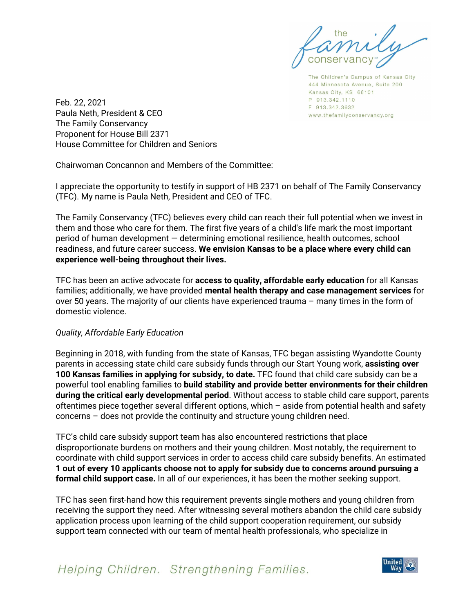The Children's Campus of Kansas City 444 Minnesota Avenue, Suite 200 Kansas City, KS 66101 P 913.342.1110 F 913.342.3632 www.thefamilyconservancy.org

Feb. 22, 2021 Paula Neth, President & CEO The Family Conservancy Proponent for House Bill 2371 House Committee for Children and Seniors

Chairwoman Concannon and Members of the Committee:

I appreciate the opportunity to testify in support of HB 2371 on behalf of The Family Conservancy (TFC). My name is Paula Neth, President and CEO of TFC.

The Family Conservancy (TFC) believes every child can reach their full potential when we invest in them and those who care for them. The first five years of a child's life mark the most important period of human development — determining emotional resilience, health outcomes, school readiness, and future career success. **We envision Kansas to be a place where every child can experience well-being throughout their lives.**

TFC has been an active advocate for **access to quality, affordable early education** for all Kansas families; additionally, we have provided **mental health therapy and case management services** for over 50 years. The majority of our clients have experienced trauma – many times in the form of domestic violence.

## *Quality, Affordable Early Education*

Beginning in 2018, with funding from the state of Kansas, TFC began assisting Wyandotte County parents in accessing state child care subsidy funds through our Start Young work, **assisting over 100 Kansas families in applying for subsidy, to date.** TFC found that child care subsidy can be a powerful tool enabling families to **build stability and provide better environments for their children during the critical early developmental period**. Without access to stable child care support, parents oftentimes piece together several different options, which – aside from potential health and safety concerns – does not provide the continuity and structure young children need.

TFC's child care subsidy support team has also encountered restrictions that place disproportionate burdens on mothers and their young children. Most notably, the requirement to coordinate with child support services in order to access child care subsidy benefits. An estimated **1 out of every 10 applicants choose not to apply for subsidy due to concerns around pursuing a formal child support case.** In all of our experiences, it has been the mother seeking support.

TFC has seen first-hand how this requirement prevents single mothers and young children from receiving the support they need. After witnessing several mothers abandon the child care subsidy application process upon learning of the child support cooperation requirement, our subsidy support team connected with our team of mental health professionals, who specialize in

Helping Children. Strengthening Families.